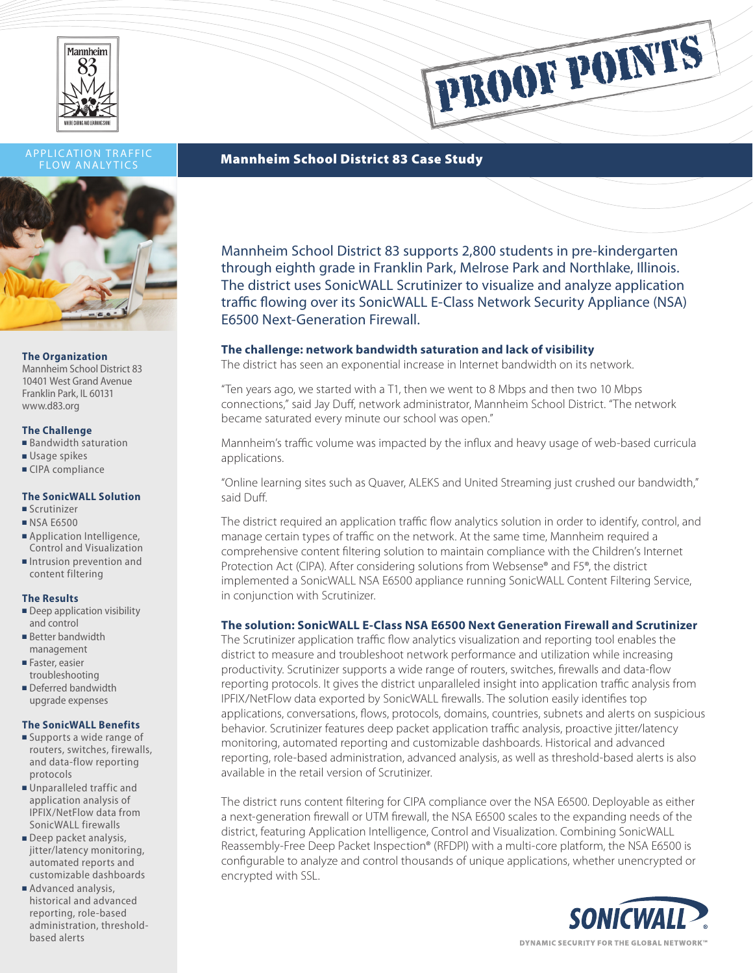

# FLOW ANALYTICS



### **The Organization**

Mannheim School District 83 10401 West Grand Avenue Franklin Park, IL 60131 www.d83.org

### **The Challenge**

- $B$ andwidth saturation
- $\blacksquare$  Usage spikes
- CIPA compliance

## **The SonicWALL Solution**

- <sup>n</sup> Scrutinizer
- **NSA E6500**
- **n** Application Intelligence, Control and Visualization
- **n** Intrusion prevention and content filtering

### **The Results**

- $\blacksquare$  Deep application visibility and control
- **Better bandwidth** management
- Faster, easier troubleshooting
- Deferred bandwidth upgrade expenses

### **The SonicWALL Benefits**

- **n** Supports a wide range of routers, switches, firewalls, and data-flow reporting protocols
- **Unparalleled traffic and** application analysis of IPFIX/NetFlow data from SonicWALL firewalls
- Deep packet analysis, jitter/latency monitoring, automated reports and customizable dashboards
- Advanced analysis, historical and advanced reporting, role-based administration, thresholdbased alerts

## APPLICATION TRAFFIC<br>ELOW ANALYTICS **Mannheim School District 83 Case Study**

Mannheim School District 83 supports 2,800 students in pre-kindergarten through eighth grade in Franklin Park, Melrose Park and Northlake, Illinois. The district uses SonicWALL Scrutinizer to visualize and analyze application traffic flowing over its SonicWALL E-Class Network Security Appliance (NSA) E6500 Next-Generation Firewall.

PROOF POINTS

## **The challenge: network bandwidth saturation and lack of visibility**

The district has seen an exponential increase in Internet bandwidth on its network.

"Ten years ago, we started with a T1, then we went to 8 Mbps and then two 10 Mbps connections," said Jay Duff, network administrator, Mannheim School District. "The network became saturated every minute our school was open."

Mannheim's traffic volume was impacted by the influx and heavy usage of web-based curricula applications.

"Online learning sites such as Quaver, ALEKS and United Streaming just crushed our bandwidth," said Duff.

The district required an application traffic flow analytics solution in order to identify, control, and manage certain types of traffic on the network. At the same time, Mannheim required a comprehensive content filtering solution to maintain compliance with the Children's Internet Protection Act (CIPA). After considering solutions from Websense® and F5®, the district implemented a SonicWALL NSA E6500 appliance running SonicWALL Content Filtering Service, in conjunction with Scrutinizer.

## **The solution: SonicWALL E-Class NSA E6500 Next Generation Firewall and Scrutinizer**

The Scrutinizer application traffic flow analytics visualization and reporting tool enables the district to measure and troubleshoot network performance and utilization while increasing productivity. Scrutinizer supports a wide range of routers, switches, firewalls and data-flow reporting protocols. It gives the district unparalleled insight into application traffic analysis from IPFIX/NetFlow data exported by SonicWALL firewalls. The solution easily identifies top applications, conversations, flows, protocols, domains, countries, subnets and alerts on suspicious behavior. Scrutinizer features deep packet application traffic analysis, proactive jitter/latency monitoring, automated reporting and customizable dashboards. Historical and advanced reporting, role-based administration, advanced analysis, as well as threshold-based alerts is also available in the retail version of Scrutinizer.

The district runs content filtering for CIPA compliance over the NSA E6500. Deployable as either a next-generation firewall or UTM firewall, the NSA E6500 scales to the expanding needs of the district, featuring Application Intelligence, Control and Visualization. Combining SonicWALL Reassembly-Free Deep Packet Inspection® (RFDPI) with a multi-core platform, the NSA E6500 is configurable to analyze and control thousands of unique applications, whether unencrypted or encrypted with SSL.



DYNAMIC SECURITY FOR THE GLOBAL NETWORK®